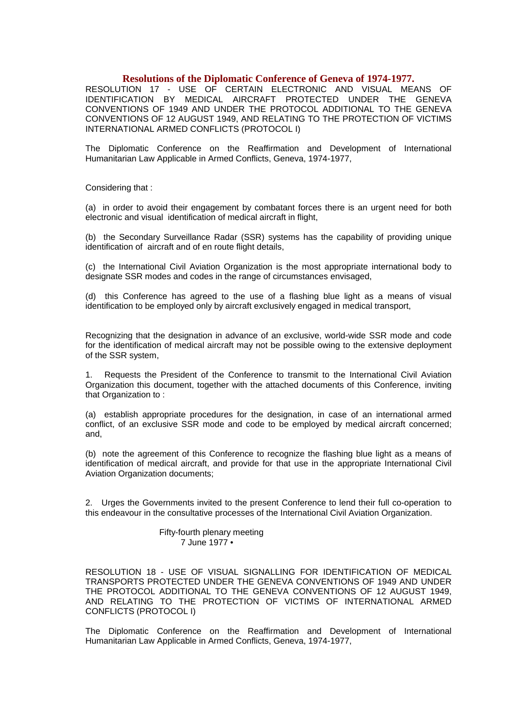## **Resolutions of the Diplomatic Conference of Geneva of 1974-1977.**

RESOLUTION 17 - USE OF CERTAIN ELECTRONIC AND VISUAL MEANS OF IDENTIFICATION BY MEDICAL AIRCRAFT PROTECTED UNDER THE GENEVA CONVENTIONS OF 1949 AND UNDER THE PROTOCOL ADDITIONAL TO THE GENEVA CONVENTIONS OF 12 AUGUST 1949, AND RELATING TO THE PROTECTION OF VICTIMS INTERNATIONAL ARMED CONFLICTS (PROTOCOL I)

The Diplomatic Conference on the Reaffirmation and Development of International Humanitarian Law Applicable in Armed Conflicts, Geneva, 1974-1977,

Considering that :

(a) in order to avoid their engagement by combatant forces there is an urgent need for both electronic and visual identification of medical aircraft in flight,

(b) the Secondary Surveillance Radar (SSR) systems has the capability of providing unique identification of aircraft and of en route flight details,

(c) the International Civil Aviation Organization is the most appropriate international body to designate SSR modes and codes in the range of circumstances envisaged,

(d) this Conference has agreed to the use of a flashing blue light as a means of visual identification to be employed only by aircraft exclusively engaged in medical transport,

Recognizing that the designation in advance of an exclusive, world-wide SSR mode and code for the identification of medical aircraft may not be possible owing to the extensive deployment of the SSR system,

1. Requests the President of the Conference to transmit to the International Civil Aviation Organization this document, together with the attached documents of this Conference, inviting that Organization to :

(a) establish appropriate procedures for the designation, in case of an international armed conflict, of an exclusive SSR mode and code to be employed by medical aircraft concerned; and,

(b) note the agreement of this Conference to recognize the flashing blue light as a means of identification of medical aircraft, and provide for that use in the appropriate International Civil Aviation Organization documents;

2. Urges the Governments invited to the present Conference to lend their full co-operation to this endeavour in the consultative processes of the International Civil Aviation Organization.

> Fifty-fourth plenary meeting 7 June 1977 •

RESOLUTION 18 - USE OF VISUAL SIGNALLING FOR IDENTIFICATION OF MEDICAL TRANSPORTS PROTECTED UNDER THE GENEVA CONVENTIONS OF 1949 AND UNDER THE PROTOCOL ADDITIONAL TO THE GENEVA CONVENTIONS OF 12 AUGUST 1949, AND RELATING TO THE PROTECTION OF VICTIMS OF INTERNATIONAL ARMED CONFLICTS (PROTOCOL I)

The Diplomatic Conference on the Reaffirmation and Development of International Humanitarian Law Applicable in Armed Conflicts, Geneva, 1974-1977,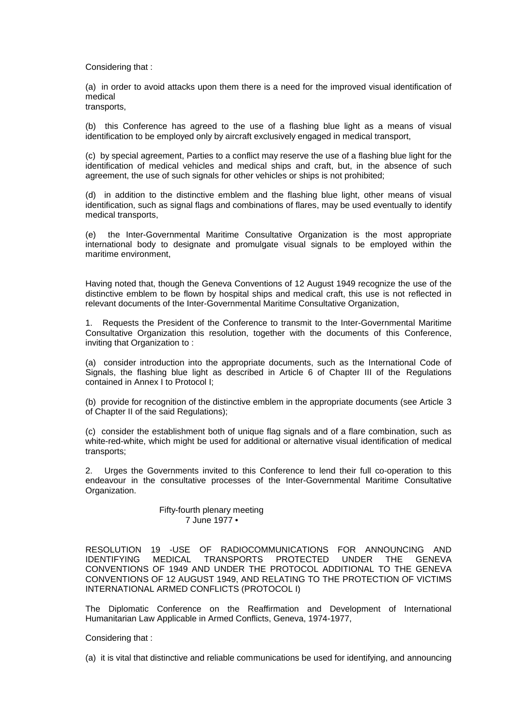Considering that :

(a) in order to avoid attacks upon them there is a need for the improved visual identification of medical transports,

(b) this Conference has agreed to the use of a flashing blue light as a means of visual identification to be employed only by aircraft exclusively engaged in medical transport,

(c) by special agreement, Parties to a conflict may reserve the use of a flashing blue light for the identification of medical vehicles and medical ships and craft, but, in the absence of such agreement, the use of such signals for other vehicles or ships is not prohibited;

(d) in addition to the distinctive emblem and the flashing blue light, other means of visual identification, such as signal flags and combinations of flares, may be used eventually to identify medical transports,

(e) the Inter-Governmental Maritime Consultative Organization is the most appropriate international body to designate and promulgate visual signals to be employed within the maritime environment,

Having noted that, though the Geneva Conventions of 12 August 1949 recognize the use of the distinctive emblem to be flown by hospital ships and medical craft, this use is not reflected in relevant documents of the Inter-Governmental Maritime Consultative Organization,

1. Requests the President of the Conference to transmit to the Inter-Governmental Maritime Consultative Organization this resolution, together with the documents of this Conference, inviting that Organization to :

(a) consider introduction into the appropriate documents, such as the International Code of Signals, the flashing blue light as described in Article 6 of Chapter III of the Regulations contained in Annex I to Protocol I;

(b) provide for recognition of the distinctive emblem in the appropriate documents (see Article 3 of Chapter II of the said Regulations);

(c) consider the establishment both of unique flag signals and of a flare combination, such as white-red-white, which might be used for additional or alternative visual identification of medical transports;

2. Urges the Governments invited to this Conference to lend their full co-operation to this endeavour in the consultative processes of the Inter-Governmental Maritime Consultative Organization.

> Fifty-fourth plenary meeting 7 June 1977 •

RESOLUTION 19 -USE OF RADIOCOMMUNICATIONS FOR ANNOUNCING AND IDENTIFYING MEDICAL TRANSPORTS PROTECTED UNDER THE GENEVA CONVENTIONS OF 1949 AND UNDER THE PROTOCOL ADDITIONAL TO THE GENEVA CONVENTIONS OF 12 AUGUST 1949, AND RELATING TO THE PROTECTION OF VICTIMS INTERNATIONAL ARMED CONFLICTS (PROTOCOL I)

The Diplomatic Conference on the Reaffirmation and Development of International Humanitarian Law Applicable in Armed Conflicts, Geneva, 1974-1977,

Considering that :

(a) it is vital that distinctive and reliable communications be used for identifying, and announcing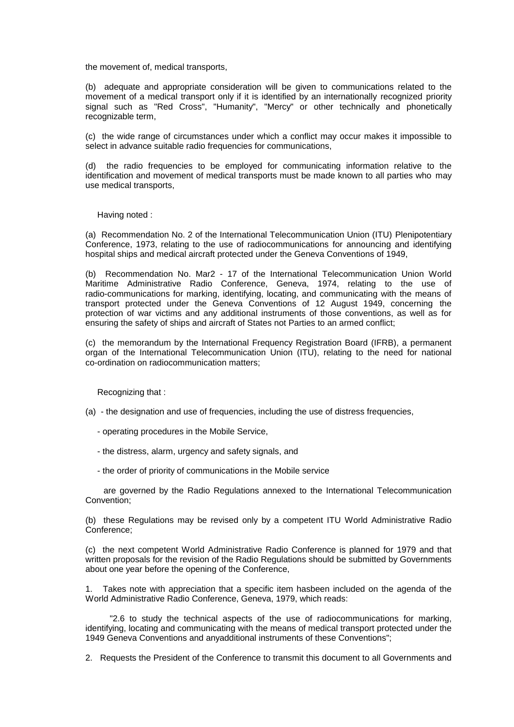the movement of, medical transports,

(b) adequate and appropriate consideration will be given to communications related to the movement of a medical transport only if it is identified by an internationally recognized priority signal such as "Red Cross", "Humanity", "Mercy" or other technically and phonetically recognizable term,

(c) the wide range of circumstances under which a conflict may occur makes it impossible to select in advance suitable radio frequencies for communications,

(d) the radio frequencies to be employed for communicating information relative to the identification and movement of medical transports must be made known to all parties who may use medical transports,

Having noted :

(a) Recommendation No. 2 of the International Telecommunication Union (ITU) Plenipotentiary Conference, 1973, relating to the use of radiocommunications for announcing and identifying hospital ships and medical aircraft protected under the Geneva Conventions of 1949,

(b) Recommendation No. Mar2 - 17 of the International Telecommunication Union World Maritime Administrative Radio Conference, Geneva, 1974, relating to the use of radio-communications for marking, identifying, locating, and communicating with the means of transport protected under the Geneva Conventions of 12 August 1949, concerning the protection of war victims and any additional instruments of those conventions, as well as for ensuring the safety of ships and aircraft of States not Parties to an armed conflict;

(c) the memorandum by the International Frequency Registration Board (IFRB), a permanent organ of the International Telecommunication Union (ITU), relating to the need for national co-ordination on radiocommunication matters;

Recognizing that :

(a) - the designation and use of frequencies, including the use of distress frequencies,

- operating procedures in the Mobile Service,
- the distress, alarm, urgency and safety signals, and
- the order of priority of communications in the Mobile service

are governed by the Radio Regulations annexed to the International Telecommunication Convention;

(b) these Regulations may be revised only by a competent ITU World Administrative Radio Conference;

(c) the next competent World Administrative Radio Conference is planned for 1979 and that written proposals for the revision of the Radio Regulations should be submitted by Governments about one year before the opening of the Conference,

1. Takes note with appreciation that a specific item hasbeen included on the agenda of the World Administrative Radio Conference, Geneva, 1979, which reads:

"2.6 to study the technical aspects of the use of radiocommunications for marking, identifying, locating and communicating with the means of medical transport protected under the 1949 Geneva Conventions and anyadditional instruments of these Conventions";

2. Requests the President of the Conference to transmit this document to all Governments and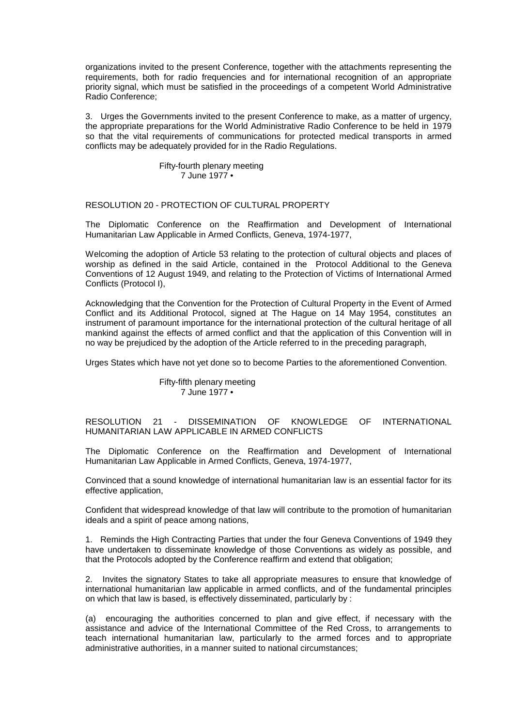organizations invited to the present Conference, together with the attachments representing the requirements, both for radio frequencies and for international recognition of an appropriate priority signal, which must be satisfied in the proceedings of a competent World Administrative Radio Conference;

3. Urges the Governments invited to the present Conference to make, as a matter of urgency, the appropriate preparations for the World Administrative Radio Conference to be held in 1979 so that the vital requirements of communications for protected medical transports in armed conflicts may be adequately provided for in the Radio Regulations.

> Fifty-fourth plenary meeting 7 June 1977 •

RESOLUTION 20 - PROTECTION OF CULTURAL PROPERTY

The Diplomatic Conference on the Reaffirmation and Development of International Humanitarian Law Applicable in Armed Conflicts, Geneva, 1974-1977,

Welcoming the adoption of Article 53 relating to the protection of cultural objects and places of worship as defined in the said Article, contained in the Protocol Additional to the Geneva Conventions of 12 August 1949, and relating to the Protection of Victims of International Armed Conflicts (Protocol I),

Acknowledging that the Convention for the Protection of Cultural Property in the Event of Armed Conflict and its Additional Protocol, signed at The Hague on 14 May 1954, constitutes an instrument of paramount importance for the international protection of the cultural heritage of all mankind against the effects of armed conflict and that the application of this Convention will in no way be prejudiced by the adoption of the Article referred to in the preceding paragraph,

Urges States which have not yet done so to become Parties to the aforementioned Convention.

Fifty-fifth plenary meeting 7 June 1977 •

RESOLUTION 21 - DISSEMINATION OF KNOWLEDGE OF INTERNATIONAL HUMANITARIAN LAW APPLICABLE IN ARMED CONFLICTS

The Diplomatic Conference on the Reaffirmation and Development of International Humanitarian Law Applicable in Armed Conflicts, Geneva, 1974-1977,

Convinced that a sound knowledge of international humanitarian law is an essential factor for its effective application,

Confident that widespread knowledge of that law will contribute to the promotion of humanitarian ideals and a spirit of peace among nations,

1. Reminds the High Contracting Parties that under the four Geneva Conventions of 1949 they have undertaken to disseminate knowledge of those Conventions as widely as possible, and that the Protocols adopted by the Conference reaffirm and extend that obligation;

2. Invites the signatory States to take all appropriate measures to ensure that knowledge of international humanitarian law applicable in armed conflicts, and of the fundamental principles on which that law is based, is effectively disseminated, particularly by :

(a) encouraging the authorities concerned to plan and give effect, if necessary with the assistance and advice of the International Committee of the Red Cross, to arrangements to teach international humanitarian law, particularly to the armed forces and to appropriate administrative authorities, in a manner suited to national circumstances;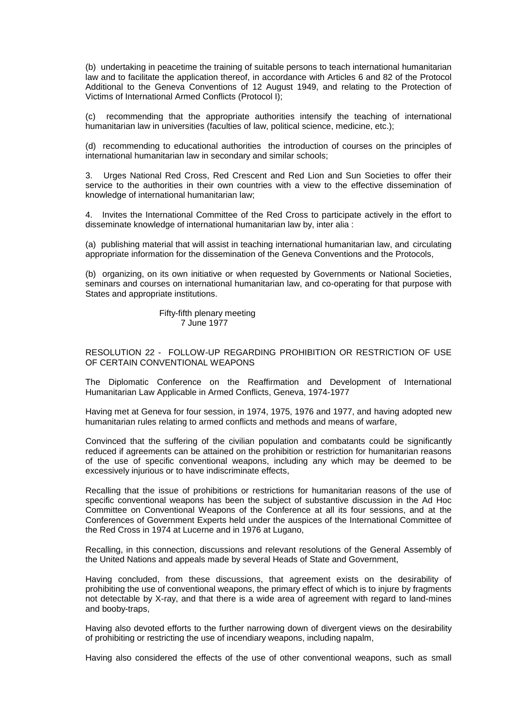(b) undertaking in peacetime the training of suitable persons to teach international humanitarian law and to facilitate the application thereof, in accordance with Articles 6 and 82 of the Protocol Additional to the Geneva Conventions of 12 August 1949, and relating to the Protection of Victims of International Armed Conflicts (Protocol I);

(c) recommending that the appropriate authorities intensify the teaching of international humanitarian law in universities (faculties of law, political science, medicine, etc.);

(d) recommending to educational authorities the introduction of courses on the principles of international humanitarian law in secondary and similar schools;

3. Urges National Red Cross, Red Crescent and Red Lion and Sun Societies to offer their service to the authorities in their own countries with a view to the effective dissemination of knowledge of international humanitarian law;

4. Invites the International Committee of the Red Cross to participate actively in the effort to disseminate knowledge of international humanitarian law by, inter alia :

(a) publishing material that will assist in teaching international humanitarian law, and circulating appropriate information for the dissemination of the Geneva Conventions and the Protocols,

(b) organizing, on its own initiative or when requested by Governments or National Societies, seminars and courses on international humanitarian law, and co-operating for that purpose with States and appropriate institutions.

## Fifty-fifth plenary meeting 7 June 1977

RESOLUTION 22 - FOLLOW-UP REGARDING PROHIBITION OR RESTRICTION OF USE OF CERTAIN CONVENTIONAL WEAPONS

The Diplomatic Conference on the Reaffirmation and Development of International Humanitarian Law Applicable in Armed Conflicts, Geneva, 1974-1977

Having met at Geneva for four session, in 1974, 1975, 1976 and 1977, and having adopted new humanitarian rules relating to armed conflicts and methods and means of warfare,

Convinced that the suffering of the civilian population and combatants could be significantly reduced if agreements can be attained on the prohibition or restriction for humanitarian reasons of the use of specific conventional weapons, including any which may be deemed to be excessively injurious or to have indiscriminate effects,

Recalling that the issue of prohibitions or restrictions for humanitarian reasons of the use of specific conventional weapons has been the subject of substantive discussion in the Ad Hoc Committee on Conventional Weapons of the Conference at all its four sessions, and at the Conferences of Government Experts held under the auspices of the International Committee of the Red Cross in 1974 at Lucerne and in 1976 at Lugano,

Recalling, in this connection, discussions and relevant resolutions of the General Assembly of the United Nations and appeals made by several Heads of State and Government,

Having concluded, from these discussions, that agreement exists on the desirability of prohibiting the use of conventional weapons, the primary effect of which is to injure by fragments not detectable by X-ray, and that there is a wide area of agreement with regard to land-mines and booby-traps,

Having also devoted efforts to the further narrowing down of divergent views on the desirability of prohibiting or restricting the use of incendiary weapons, including napalm,

Having also considered the effects of the use of other conventional weapons, such as small